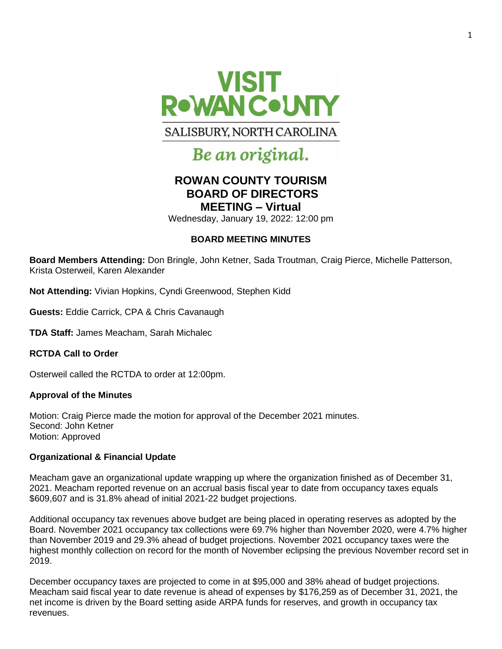

# Be an original.

# **ROWAN COUNTY TOURISM BOARD OF DIRECTORS MEETING – Virtual**

Wednesday, January 19, 2022: 12:00 pm

### **BOARD MEETING MINUTES**

**Board Members Attending:** Don Bringle, John Ketner, Sada Troutman, Craig Pierce, Michelle Patterson, Krista Osterweil, Karen Alexander

**Not Attending:** Vivian Hopkins, Cyndi Greenwood, Stephen Kidd

**Guests:** Eddie Carrick, CPA & Chris Cavanaugh

**TDA Staff:** James Meacham, Sarah Michalec

**RCTDA Call to Order** 

Osterweil called the RCTDA to order at 12:00pm.

#### **Approval of the Minutes**

Motion: Craig Pierce made the motion for approval of the December 2021 minutes. Second: John Ketner Motion: Approved

#### **Organizational & Financial Update**

Meacham gave an organizational update wrapping up where the organization finished as of December 31, 2021. Meacham reported revenue on an accrual basis fiscal year to date from occupancy taxes equals \$609,607 and is 31.8% ahead of initial 2021-22 budget projections.

Additional occupancy tax revenues above budget are being placed in operating reserves as adopted by the Board. November 2021 occupancy tax collections were 69.7% higher than November 2020, were 4.7% higher than November 2019 and 29.3% ahead of budget projections. November 2021 occupancy taxes were the highest monthly collection on record for the month of November eclipsing the previous November record set in 2019.

December occupancy taxes are projected to come in at \$95,000 and 38% ahead of budget projections. Meacham said fiscal year to date revenue is ahead of expenses by \$176,259 as of December 31, 2021, the net income is driven by the Board setting aside ARPA funds for reserves, and growth in occupancy tax revenues.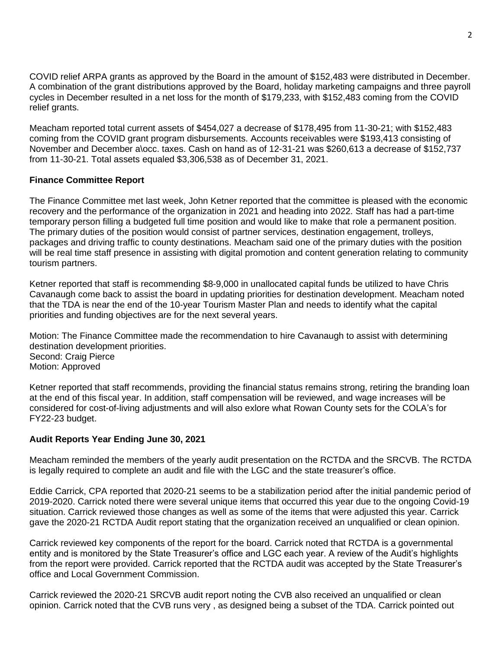COVID relief ARPA grants as approved by the Board in the amount of \$152,483 were distributed in December. A combination of the grant distributions approved by the Board, holiday marketing campaigns and three payroll cycles in December resulted in a net loss for the month of \$179,233, with \$152,483 coming from the COVID relief grants.

Meacham reported total current assets of \$454,027 a decrease of \$178,495 from 11-30-21; with \$152,483 coming from the COVID grant program disbursements. Accounts receivables were \$193,413 consisting of November and December a\occ. taxes. Cash on hand as of 12-31-21 was \$260,613 a decrease of \$152,737 from 11-30-21. Total assets equaled \$3,306,538 as of December 31, 2021.

#### **Finance Committee Report**

The Finance Committee met last week, John Ketner reported that the committee is pleased with the economic recovery and the performance of the organization in 2021 and heading into 2022. Staff has had a part-time temporary person filling a budgeted full time position and would like to make that role a permanent position. The primary duties of the position would consist of partner services, destination engagement, trolleys, packages and driving traffic to county destinations. Meacham said one of the primary duties with the position will be real time staff presence in assisting with digital promotion and content generation relating to community tourism partners.

Ketner reported that staff is recommending \$8-9,000 in unallocated capital funds be utilized to have Chris Cavanaugh come back to assist the board in updating priorities for destination development. Meacham noted that the TDA is near the end of the 10-year Tourism Master Plan and needs to identify what the capital priorities and funding objectives are for the next several years.

Motion: The Finance Committee made the recommendation to hire Cavanaugh to assist with determining destination development priorities. Second: Craig Pierce Motion: Approved

Ketner reported that staff recommends, providing the financial status remains strong, retiring the branding loan at the end of this fiscal year. In addition, staff compensation will be reviewed, and wage increases will be considered for cost-of-living adjustments and will also exlore what Rowan County sets for the COLA's for FY22-23 budget.

## **Audit Reports Year Ending June 30, 2021**

Meacham reminded the members of the yearly audit presentation on the RCTDA and the SRCVB. The RCTDA is legally required to complete an audit and file with the LGC and the state treasurer's office.

Eddie Carrick, CPA reported that 2020-21 seems to be a stabilization period after the initial pandemic period of 2019-2020. Carrick noted there were several unique items that occurred this year due to the ongoing Covid-19 situation. Carrick reviewed those changes as well as some of the items that were adjusted this year. Carrick gave the 2020-21 RCTDA Audit report stating that the organization received an unqualified or clean opinion.

Carrick reviewed key components of the report for the board. Carrick noted that RCTDA is a governmental entity and is monitored by the State Treasurer's office and LGC each year. A review of the Audit's highlights from the report were provided. Carrick reported that the RCTDA audit was accepted by the State Treasurer's office and Local Government Commission.

Carrick reviewed the 2020-21 SRCVB audit report noting the CVB also received an unqualified or clean opinion. Carrick noted that the CVB runs very , as designed being a subset of the TDA. Carrick pointed out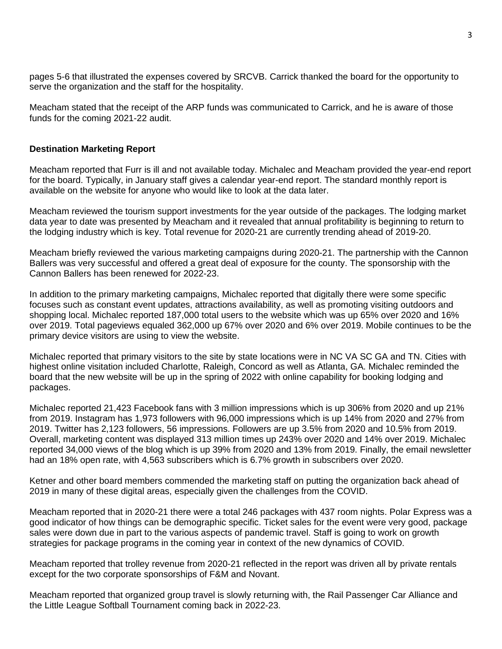pages 5-6 that illustrated the expenses covered by SRCVB. Carrick thanked the board for the opportunity to serve the organization and the staff for the hospitality.

Meacham stated that the receipt of the ARP funds was communicated to Carrick, and he is aware of those funds for the coming 2021-22 audit.

#### **Destination Marketing Report**

Meacham reported that Furr is ill and not available today. Michalec and Meacham provided the year-end report for the board. Typically, in January staff gives a calendar year-end report. The standard monthly report is available on the website for anyone who would like to look at the data later.

Meacham reviewed the tourism support investments for the year outside of the packages. The lodging market data year to date was presented by Meacham and it revealed that annual profitability is beginning to return to the lodging industry which is key. Total revenue for 2020-21 are currently trending ahead of 2019-20.

Meacham briefly reviewed the various marketing campaigns during 2020-21. The partnership with the Cannon Ballers was very successful and offered a great deal of exposure for the county. The sponsorship with the Cannon Ballers has been renewed for 2022-23.

In addition to the primary marketing campaigns, Michalec reported that digitally there were some specific focuses such as constant event updates, attractions availability, as well as promoting visiting outdoors and shopping local. Michalec reported 187,000 total users to the website which was up 65% over 2020 and 16% over 2019. Total pageviews equaled 362,000 up 67% over 2020 and 6% over 2019. Mobile continues to be the primary device visitors are using to view the website.

Michalec reported that primary visitors to the site by state locations were in NC VA SC GA and TN. Cities with highest online visitation included Charlotte, Raleigh, Concord as well as Atlanta, GA. Michalec reminded the board that the new website will be up in the spring of 2022 with online capability for booking lodging and packages.

Michalec reported 21,423 Facebook fans with 3 million impressions which is up 306% from 2020 and up 21% from 2019. Instagram has 1,973 followers with 96,000 impressions which is up 14% from 2020 and 27% from 2019. Twitter has 2,123 followers, 56 impressions. Followers are up 3.5% from 2020 and 10.5% from 2019. Overall, marketing content was displayed 313 million times up 243% over 2020 and 14% over 2019. Michalec reported 34,000 views of the blog which is up 39% from 2020 and 13% from 2019. Finally, the email newsletter had an 18% open rate, with 4,563 subscribers which is 6.7% growth in subscribers over 2020.

Ketner and other board members commended the marketing staff on putting the organization back ahead of 2019 in many of these digital areas, especially given the challenges from the COVID.

Meacham reported that in 2020-21 there were a total 246 packages with 437 room nights. Polar Express was a good indicator of how things can be demographic specific. Ticket sales for the event were very good, package sales were down due in part to the various aspects of pandemic travel. Staff is going to work on growth strategies for package programs in the coming year in context of the new dynamics of COVID.

Meacham reported that trolley revenue from 2020-21 reflected in the report was driven all by private rentals except for the two corporate sponsorships of F&M and Novant.

Meacham reported that organized group travel is slowly returning with, the Rail Passenger Car Alliance and the Little League Softball Tournament coming back in 2022-23.